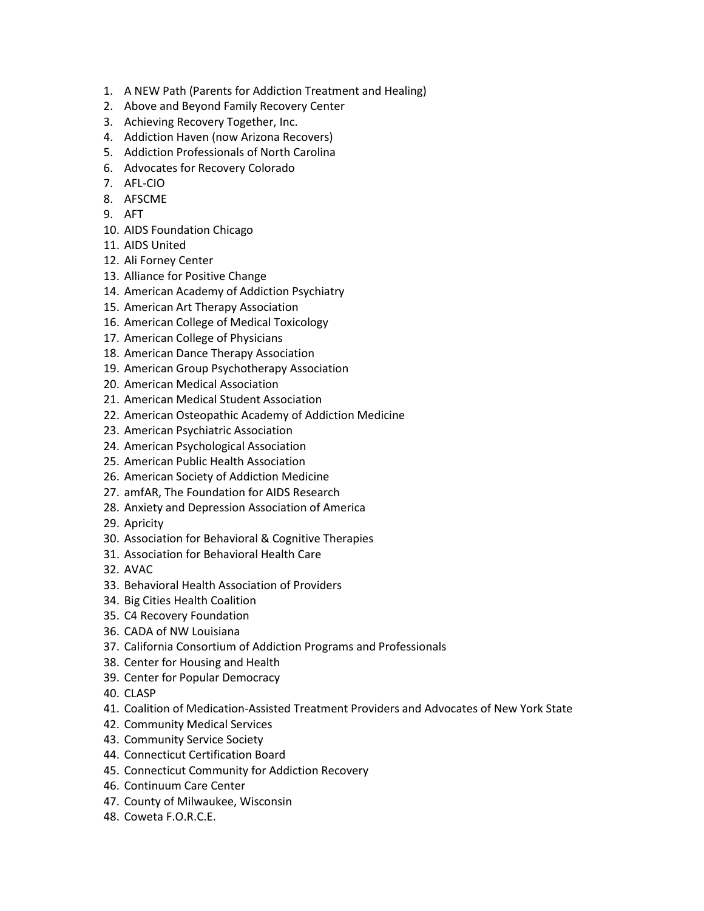- 1. A NEW Path (Parents for Addiction Treatment and Healing)
- 2. Above and Beyond Family Recovery Center
- 3. Achieving Recovery Together, Inc.
- 4. Addiction Haven (now Arizona Recovers)
- 5. Addiction Professionals of North Carolina
- 6. Advocates for Recovery Colorado
- 7. AFL-CIO
- 8. AFSCME
- 9. AFT
- 10. AIDS Foundation Chicago
- 11. AIDS United
- 12. Ali Forney Center
- 13. Alliance for Positive Change
- 14. American Academy of Addiction Psychiatry
- 15. American Art Therapy Association
- 16. American College of Medical Toxicology
- 17. American College of Physicians
- 18. American Dance Therapy Association
- 19. American Group Psychotherapy Association
- 20. American Medical Association
- 21. American Medical Student Association
- 22. American Osteopathic Academy of Addiction Medicine
- 23. American Psychiatric Association
- 24. American Psychological Association
- 25. American Public Health Association
- 26. American Society of Addiction Medicine
- 27. amfAR, The Foundation for AIDS Research
- 28. Anxiety and Depression Association of America
- 29. Apricity
- 30. Association for Behavioral & Cognitive Therapies
- 31. Association for Behavioral Health Care
- 32. AVAC
- 33. Behavioral Health Association of Providers
- 34. Big Cities Health Coalition
- 35. C4 Recovery Foundation
- 36. CADA of NW Louisiana
- 37. California Consortium of Addiction Programs and Professionals
- 38. Center for Housing and Health
- 39. Center for Popular Democracy
- 40. CLASP
- 41. Coalition of Medication-Assisted Treatment Providers and Advocates of New York State
- 42. Community Medical Services
- 43. Community Service Society
- 44. Connecticut Certification Board
- 45. Connecticut Community for Addiction Recovery
- 46. Continuum Care Center
- 47. County of Milwaukee, Wisconsin
- 48. Coweta F.O.R.C.E.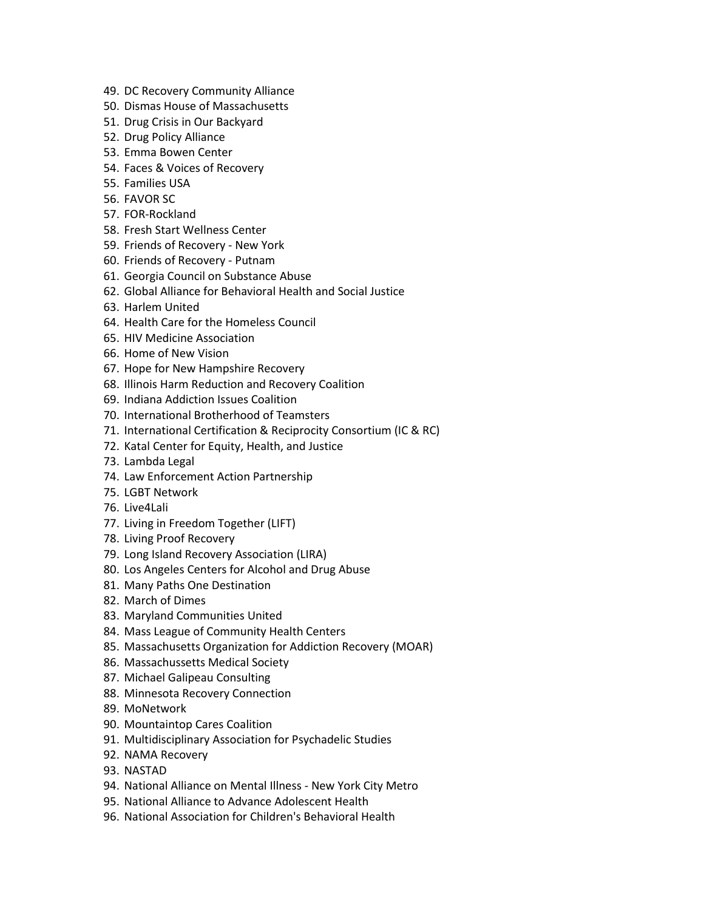- 49. DC Recovery Community Alliance
- 50. Dismas House of Massachusetts
- 51. Drug Crisis in Our Backyard
- 52. Drug Policy Alliance
- 53. Emma Bowen Center
- 54. Faces & Voices of Recovery
- 55. Families USA
- 56. FAVOR SC
- 57. FOR-Rockland
- 58. Fresh Start Wellness Center
- 59. Friends of Recovery New York
- 60. Friends of Recovery Putnam
- 61. Georgia Council on Substance Abuse
- 62. Global Alliance for Behavioral Health and Social Justice
- 63. Harlem United
- 64. Health Care for the Homeless Council
- 65. HIV Medicine Association
- 66. Home of New Vision
- 67. Hope for New Hampshire Recovery
- 68. Illinois Harm Reduction and Recovery Coalition
- 69. Indiana Addiction Issues Coalition
- 70. International Brotherhood of Teamsters
- 71. International Certification & Reciprocity Consortium (IC & RC)
- 72. Katal Center for Equity, Health, and Justice
- 73. Lambda Legal
- 74. Law Enforcement Action Partnership
- 75. LGBT Network
- 76. Live4Lali
- 77. Living in Freedom Together (LIFT)
- 78. Living Proof Recovery
- 79. Long Island Recovery Association (LIRA)
- 80. Los Angeles Centers for Alcohol and Drug Abuse
- 81. Many Paths One Destination
- 82. March of Dimes
- 83. Maryland Communities United
- 84. Mass League of Community Health Centers
- 85. Massachusetts Organization for Addiction Recovery (MOAR)
- 86. Massachussetts Medical Society
- 87. Michael Galipeau Consulting
- 88. Minnesota Recovery Connection
- 89. MoNetwork
- 90. Mountaintop Cares Coalition
- 91. Multidisciplinary Association for Psychadelic Studies
- 92. NAMA Recovery
- 93. NASTAD
- 94. National Alliance on Mental Illness New York City Metro
- 95. National Alliance to Advance Adolescent Health
- 96. National Association for Children's Behavioral Health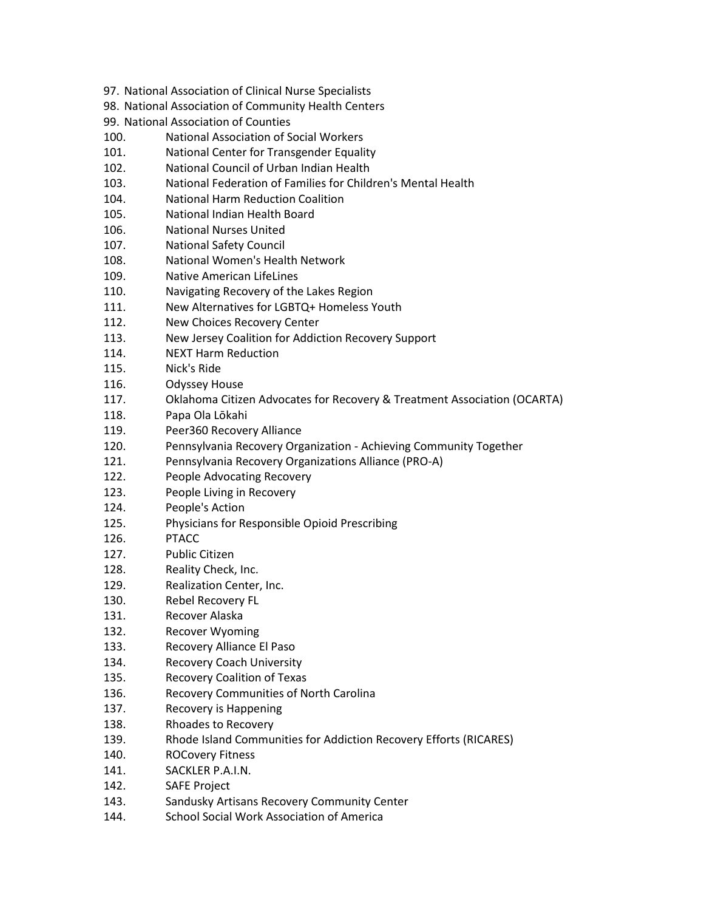- 97. National Association of Clinical Nurse Specialists
- 98. National Association of Community Health Centers
- 99. National Association of Counties
- 100. National Association of Social Workers
- 101. National Center for Transgender Equality
- 102. National Council of Urban Indian Health
- 103. National Federation of Families for Children's Mental Health
- 104. National Harm Reduction Coalition
- 105. National Indian Health Board
- 106. National Nurses United
- 107. National Safety Council
- 108. National Women's Health Network
- 109. Native American LifeLines
- 110. Navigating Recovery of the Lakes Region
- 111. New Alternatives for LGBTQ+ Homeless Youth
- 112. New Choices Recovery Center
- 113. New Jersey Coalition for Addiction Recovery Support
- 114. NEXT Harm Reduction
- 115. Nick's Ride
- 116. Odyssey House
- 117. Oklahoma Citizen Advocates for Recovery & Treatment Association (OCARTA)
- 118. Papa Ola Lōkahi
- 119. Peer360 Recovery Alliance
- 120. Pennsylvania Recovery Organization Achieving Community Together
- 121. Pennsylvania Recovery Organizations Alliance (PRO-A)
- 122. People Advocating Recovery
- 123. People Living in Recovery
- 124. People's Action
- 125. Physicians for Responsible Opioid Prescribing
- 126. PTACC
- 127. Public Citizen
- 128. Reality Check, Inc.
- 129. Realization Center, Inc.
- 130. Rebel Recovery FL
- 131. Recover Alaska
- 132. Recover Wyoming
- 133. Recovery Alliance El Paso
- 134. Recovery Coach University
- 135. Recovery Coalition of Texas
- 136. Recovery Communities of North Carolina
- 137. Recovery is Happening
- 138. Rhoades to Recovery
- 139. Rhode Island Communities for Addiction Recovery Efforts (RICARES)
- 140. ROCovery Fitness
- 141. SACKLER P.A.I.N.
- 142. SAFE Project
- 143. Sandusky Artisans Recovery Community Center
- 144. School Social Work Association of America